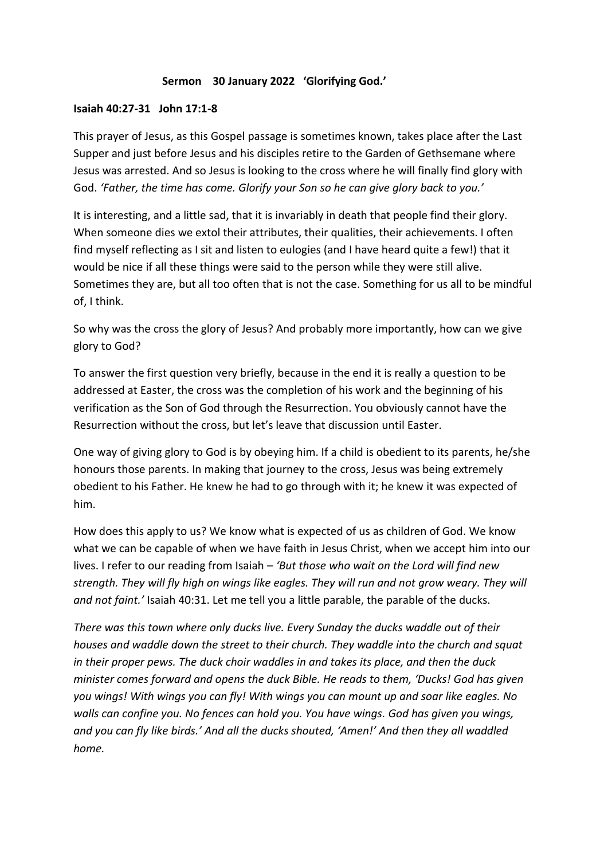## **Sermon 30 January 2022 'Glorifying God.'**

## **Isaiah 40:27-31 John 17:1-8**

This prayer of Jesus, as this Gospel passage is sometimes known, takes place after the Last Supper and just before Jesus and his disciples retire to the Garden of Gethsemane where Jesus was arrested. And so Jesus is looking to the cross where he will finally find glory with God. *'Father, the time has come. Glorify your Son so he can give glory back to you.'*

It is interesting, and a little sad, that it is invariably in death that people find their glory. When someone dies we extol their attributes, their qualities, their achievements. I often find myself reflecting as I sit and listen to eulogies (and I have heard quite a few!) that it would be nice if all these things were said to the person while they were still alive. Sometimes they are, but all too often that is not the case. Something for us all to be mindful of, I think.

So why was the cross the glory of Jesus? And probably more importantly, how can we give glory to God?

To answer the first question very briefly, because in the end it is really a question to be addressed at Easter, the cross was the completion of his work and the beginning of his verification as the Son of God through the Resurrection. You obviously cannot have the Resurrection without the cross, but let's leave that discussion until Easter.

One way of giving glory to God is by obeying him. If a child is obedient to its parents, he/she honours those parents. In making that journey to the cross, Jesus was being extremely obedient to his Father. He knew he had to go through with it; he knew it was expected of him.

How does this apply to us? We know what is expected of us as children of God. We know what we can be capable of when we have faith in Jesus Christ, when we accept him into our lives. I refer to our reading from Isaiah – *'But those who wait on the Lord will find new strength. They will fly high on wings like eagles. They will run and not grow weary. They will and not faint.'* Isaiah 40:31. Let me tell you a little parable, the parable of the ducks.

*There was this town where only ducks live. Every Sunday the ducks waddle out of their houses and waddle down the street to their church. They waddle into the church and squat in their proper pews. The duck choir waddles in and takes its place, and then the duck minister comes forward and opens the duck Bible. He reads to them, 'Ducks! God has given you wings! With wings you can fly! With wings you can mount up and soar like eagles. No walls can confine you. No fences can hold you. You have wings. God has given you wings, and you can fly like birds.' And all the ducks shouted, 'Amen!' And then they all waddled home.*